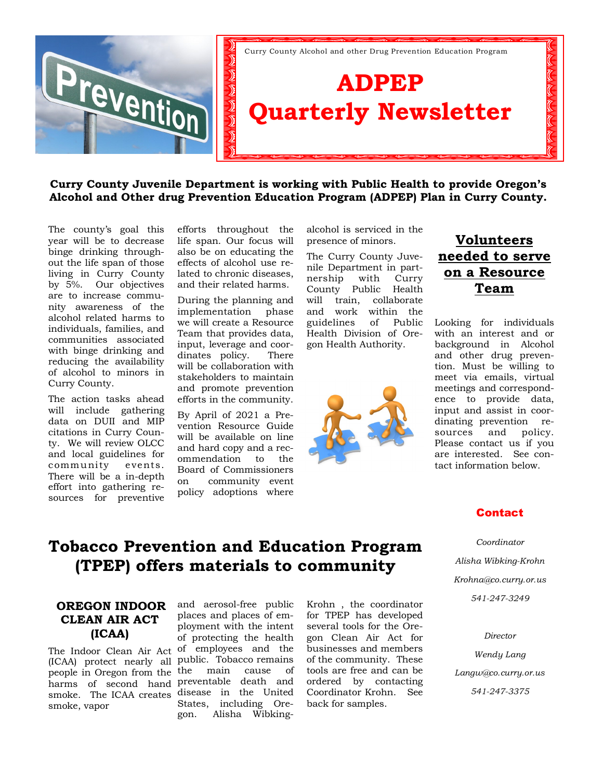

### **Curry County Juvenile Department is working with Public Health to provide Oregon's Alcohol and Other drug Prevention Education Program (ADPEP) Plan in Curry County.**

The county's goal this year will be to decrease binge drinking throughout the life span of those living in Curry County by 5%. Our objectives are to increase community awareness of the alcohol related harms to individuals, families, and communities associated with binge drinking and reducing the availability of alcohol to minors in Curry County.

The action tasks ahead will include gathering data on DUII and MIP citations in Curry County. We will review OLCC and local guidelines for community events. There will be a in-depth effort into gathering resources for preventive

efforts throughout the life span. Our focus will also be on educating the effects of alcohol use related to chronic diseases, and their related harms.

During the planning and implementation phase we will create a Resource Team that provides data, input, leverage and coordinates policy. There will be collaboration with stakeholders to maintain and promote prevention efforts in the community.

By April of 2021 a Prevention Resource Guide will be available on line and hard copy and a recommendation to the Board of Commissioners on community event policy adoptions where

alcohol is serviced in the presence of minors.

The Curry County Juvenile Department in partnership with Curry County Public Health will train, collaborate and work within the guidelines of Public Health Division of Oregon Health Authority.



## **Volunteers needed to serve on a Resource Team**

Looking for individuals with an interest and or background in Alcohol and other drug prevention. Must be willing to meet via emails, virtual meetings and correspondence to provide data, input and assist in coordinating prevention resources and policy. Please contact us if you are interested. See contact information below.

### Contact

*Coordinator Alisha Wibking-Krohn Krohna@co.curry.or.us 541-247-3249*

*Director*

*Wendy Lang Langw@co.curry.or.us 541-247-3375* 

# **Tobacco Prevention and Education Program (TPEP) offers materials to community**

### **OREGON INDOOR CLEAN AIR ACT (ICAA)**

(ICAA) protect nearly all public. Tobacco remains people in Oregon from the harms of second hand preventable death and smoke. The ICAA creates disease in the United smoke, vapor

The Indoor Clean Air Act of employees and the and aerosol-free public places and places of employment with the intent of protecting the health the main cause of States, including Oregon. Alisha WibkingKrohn , the coordinator for TPEP has developed several tools for the Oregon Clean Air Act for businesses and members of the community. These tools are free and can be ordered by contacting Coordinator Krohn. See back for samples.